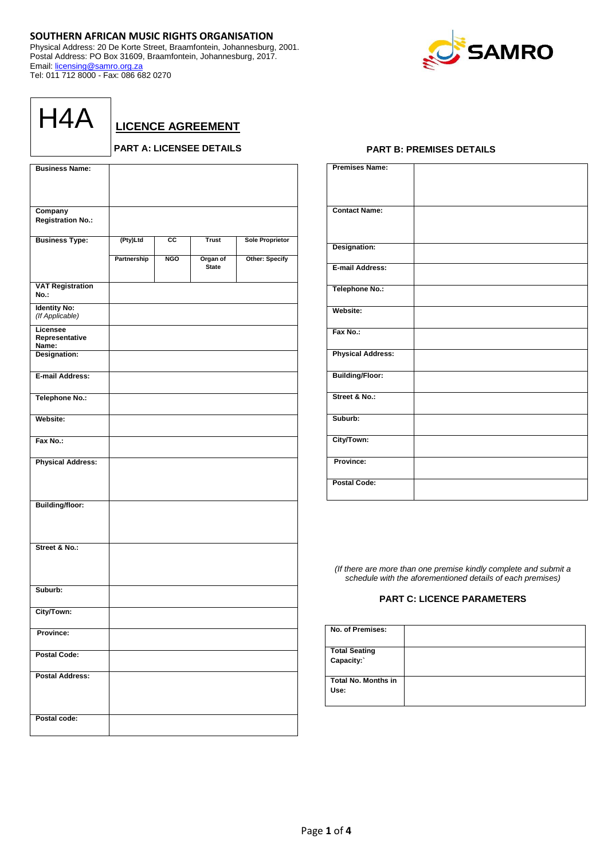# **SOUTHERN AFRICAN MUSIC RIGHTS ORGANISATION**

Physical Address: 20 De Korte Street, Braamfontein, Johannesburg, 2001. Postal Address: PO Box 31609, Braamfontein, Johannesburg, 2017. Email: [licensing@samro.org.za](mailto:licensing@samro.org.za) Tel: 011 712 8000 - Fax: 086 682 0270



| H4A |
|-----|
|-----|

**LICENCE AGREEMENT**

# **PART A: LICENSEE DETAILS**

| <b>Business Name:</b>           |             |                 |              |                        |
|---------------------------------|-------------|-----------------|--------------|------------------------|
|                                 |             |                 |              |                        |
|                                 |             |                 |              |                        |
| Company                         |             |                 |              |                        |
| <b>Registration No.:</b>        |             |                 |              |                        |
|                                 |             |                 |              |                        |
| <b>Business Type:</b>           | (Pty)Ltd    | $\overline{cc}$ | <b>Trust</b> | <b>Sole Proprietor</b> |
|                                 | Partnership | <b>NGO</b>      | Organ of     | <b>Other: Specify</b>  |
|                                 |             |                 | <b>State</b> |                        |
|                                 |             |                 |              |                        |
| <b>VAT Registration</b><br>No.: |             |                 |              |                        |
| <b>Identity No:</b>             |             |                 |              |                        |
| (If Applicable)                 |             |                 |              |                        |
| Licensee                        |             |                 |              |                        |
| Representative<br>Name:         |             |                 |              |                        |
| Designation:                    |             |                 |              |                        |
|                                 |             |                 |              |                        |
| <b>E-mail Address:</b>          |             |                 |              |                        |
| <b>Telephone No.:</b>           |             |                 |              |                        |
|                                 |             |                 |              |                        |
| Website:                        |             |                 |              |                        |
|                                 |             |                 |              |                        |
| Fax No.:                        |             |                 |              |                        |
| <b>Physical Address:</b>        |             |                 |              |                        |
|                                 |             |                 |              |                        |
|                                 |             |                 |              |                        |
|                                 |             |                 |              |                        |
| <b>Building/floor:</b>          |             |                 |              |                        |
|                                 |             |                 |              |                        |
|                                 |             |                 |              |                        |
|                                 |             |                 |              |                        |
| Street & No.:                   |             |                 |              |                        |
|                                 |             |                 |              |                        |
|                                 |             |                 |              |                        |
| Suburb:                         |             |                 |              |                        |
|                                 |             |                 |              |                        |
| City/Town:                      |             |                 |              |                        |
|                                 |             |                 |              |                        |
| Province:                       |             |                 |              |                        |
| <b>Postal Code:</b>             |             |                 |              |                        |
|                                 |             |                 |              |                        |
| <b>Postal Address:</b>          |             |                 |              |                        |
|                                 |             |                 |              |                        |
|                                 |             |                 |              |                        |
|                                 |             |                 |              |                        |
| Postal code:                    |             |                 |              |                        |

## **PART B: PREMISES DETAILS**

| <b>Premises Name:</b>    |  |
|--------------------------|--|
| <b>Contact Name:</b>     |  |
| Designation:             |  |
| E-mail Address:          |  |
| Telephone No.:           |  |
| Website:                 |  |
| Fax No.:                 |  |
| <b>Physical Address:</b> |  |
| <b>Building/Floor:</b>   |  |
| Street & No.:            |  |
| Suburb:                  |  |
| City/Town:               |  |
| Province:                |  |
| <b>Postal Code:</b>      |  |

*(If there are more than one premise kindly complete and submit a schedule with the aforementioned details of each premises)*

# **PART C: LICENCE PARAMETERS**

| No. of Premises:                   |  |
|------------------------------------|--|
| <b>Total Seating</b><br>Capacity:  |  |
| <b>Total No. Months in</b><br>Use: |  |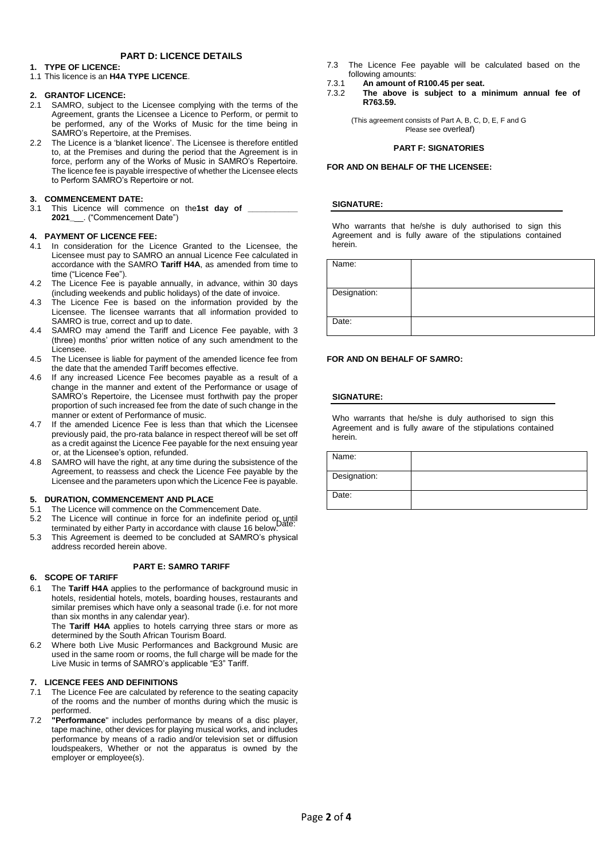# **PART D: LICENCE DETAILS**

## **1. TYPE OF LICENCE:**

1.1 This licence is an **H4A TYPE LICENCE**.

### **2. GRANTOF LICENCE:**

- 2.1 SAMRO, subject to the Licensee complying with the terms of the Agreement, grants the Licensee a Licence to Perform, or permit to be performed, any of the Works of Music for the time being in SAMRO's Repertoire, at the Premises.
- 2.2 The Licence is a 'blanket licence'. The Licensee is therefore entitled to, at the Premises and during the period that the Agreement is in force, perform any of the Works of Music in SAMRO's Repertoire. The licence fee is payable irrespective of whether the Licensee elects to Perform SAMRO's Repertoire or not.

## **3. COMMENCEMENT DATE:**

3.1 This Licence will commence on the1st day of **2021\_**\_\_. ("Commencement Date")

### **4. PAYMENT OF LICENCE FEE:**

- 4.1 In consideration for the Licence Granted to the Licensee, the Licensee must pay to SAMRO an annual Licence Fee calculated in accordance with the SAMRO **Tariff H4A**, as amended from time to time ("Licence Fee").
- 4.2 The Licence Fee is payable annually, in advance, within 30 days (including weekends and public holidays) of the date of invoice.
- 4.3 The Licence Fee is based on the information provided by the Licensee. The licensee warrants that all information provided to SAMRO is true, correct and up to date.
- 4.4 SAMRO may amend the Tariff and Licence Fee payable, with 3 (three) months' prior written notice of any such amendment to the Licensee.
- 4.5 The Licensee is liable for payment of the amended licence fee from the date that the amended Tariff becomes effective.
- 4.6 If any increased Licence Fee becomes payable as a result of a change in the manner and extent of the Performance or usage of SAMRO's Repertoire, the Licensee must forthwith pay the proper proportion of such increased fee from the date of such change in the manner or extent of Performance of music.
- 4.7 If the amended Licence Fee is less than that which the Licensee previously paid, the pro-rata balance in respect thereof will be set off as a credit against the Licence Fee payable for the next ensuing year or, at the Licensee's option, refunded.
- 4.8 SAMRO will have the right, at any time during the subsistence of the Agreement, to reassess and check the Licence Fee payable by the Licensee and the parameters upon which the Licence Fee is payable.

## **5. DURATION, COMMENCEMENT AND PLACE**

- 5.1 The Licence will commence on the Commencement Date.
- 5.2 The Licence will continue in force for an indefinite period or until terminated by either Party in accordance with clause 16 below.
- 5.3 This Agreement is deemed to be concluded at SAMRO's physical address recorded herein above.

### **PART E: SAMRO TARIFF**

## **6. SCOPE OF TARIFF**

6.1 The **Tariff H4A** applies to the performance of background music in hotels, residential hotels, motels, boarding houses, restaurants and similar premises which have only a seasonal trade (i.e. for not more than six months in any calendar year).

The **Tariff H4A** applies to hotels carrying three stars or more as determined by the South African Tourism Board.

6.2 Where both Live Music Performances and Background Music are used in the same room or rooms, the full charge will be made for the Live Music in terms of SAMRO's applicable "E3" Tariff.

### **7. LICENCE FEES AND DEFINITIONS**

- 7.1 The Licence Fee are calculated by reference to the seating capacity of the rooms and the number of months during which the music is performed.
- 7.2 **"Performance**" includes performance by means of a disc player, tape machine, other devices for playing musical works, and includes performance by means of a radio and/or television set or diffusion loudspeakers, Whether or not the apparatus is owned by the employer or employee(s).
- 7.3 The Licence Fee payable will be calculated based on the following amounts:
- 7.3.1 **An amount of R100.45 per seat.**
- 7.3.2 **The above is subject to a minimum annual fee of R763.59.**

(This agreement consists of Part A, B, C, D, E, F and G Please see overleaf)

### **PART F: SIGNATORIES**

### **FOR AND ON BEHALF OF THE LICENSEE:**

### **SIGNATURE:**

Who warrants that he/she is duly authorised to sign this Agreement and is fully aware of the stipulations contained herein.

Name:

| iname.       |  |
|--------------|--|
|              |  |
| Designation: |  |
|              |  |
|              |  |
| Date:        |  |
|              |  |
|              |  |

### **FOR AND ON BEHALF OF SAMRO:**

## **SIGNATURE:**

Who warrants that he/she is duly authorised to sign this Agreement and is fully aware of the stipulations contained herein.

| Name:        |  |
|--------------|--|
| Designation: |  |
| Date:        |  |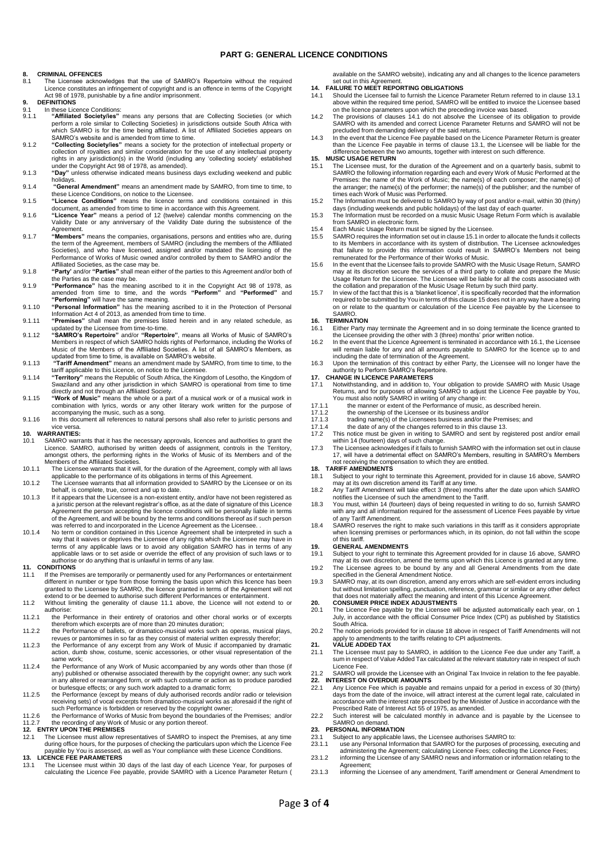### **PART G: GENERAL LICENCE CONDITIONS**

# **8. CRIMINAL OFFENCES**<br>8.1 The Licensee acknow

- The Licensee acknowledges that the use of SAMRO's Repertoire without the required Licence constitutes an infringement of copyright and is an offence in terms of the Copyright Act 98 of 1978, punishable by a fine and/or imprisonment.
- **9. DEFINITIONS**
- 9.1 In these Licence Conditions:<br>9.1. "Affiliated Society/ies" 9.1.1 **"Affiliated Society/ies"** means any persons that are Collecting Societies (or which perform a role similar to Collecting Societies) in jurisdictions outside South Africa with which SAMRO is for the time being affiliated. A list of Affiliated Societies appears on SAMRO's website and is amended from time to time.
- 9.1.2 "Collecting Society/les" means a society for the protection of intellectual property or<br>collection of royalties and similar consideration for the use of any intellectual property<br>rights in any jurisdiction(s) in the under the Copyright Act 98 of 1978, as amended).
- 9.1.3 **"Day"** unless otherwise indicated means business days excluding weekend and public
- holidays. 9.1.4 **"General Amendment"** means an amendment made by SAMRO, from time to time, to
- these Licence Conditions, on notice to the Licensee. 9.1.5 **"Licence Conditions"** means the licence terms and conditions contained in this
- document, as amended from time to time in accordance with this Agreement. 9.1.6 **"Licence Year"** means a period of 12 (twelve) calendar months commencing on the Validity Date or any anniversary of the Validity Date during the subsistence of the Agreement.
- 9.1.7 **"Members"** means the companies, organisations, persons and entities who are, during the term of the Agreement, members of SAMRO (including the members of the Affiliated Societies), and who have licensed, assigned and/or mandated the licensing of the Performance of Works of Music owned and/or controlled by them to SAMRO and/or the Affiliated Societies, as the case may be.
- 9.1.8 **"Party'** and/or **"Parties"** shall mean either of the parties to this Agreement and/or both of the Parties as the case may be.
- 9.1.9 **"Performance"** has the meaning ascribed to it in the Copyright Act 98 of 1978, as amended from time to time, and the words **"Perform"** and **"Performed"** and **"Performing"** will have the same meaning.
- 9.1.10 **"Personal Information"** has the meaning ascribed to it in the Protection of Personal Information Act 4 of 2013, as amended from time to time. 9.1.11 **"Premises"** shall mean the premises listed herein and in any related schedule, as
- 
- updated by the Licensee from time-to-time.<br>9.1.12 "SAMRO's Repertoire" and/or "Repertoire", means all Works of Music of SAMRO's<br>Members in respect of which SAMRO holds rights of Performance, including the Works of<br>Music of
- 9.1.13 **"Tariff Amendment"** means an amendment made by SAMRO, from time to time, to the tariff applicable to this Licence, on notice to the Licensee.
- 9.1.14 **"Territory"** means the Republic of South Africa, the Kingdom of Lesotho, the Kingdom of Swaziland and any other jurisdiction in which SAMRO is operational from time to time directly and not through an Affiliated Society. 9.1.15 **"Work of Music"** means the whole or a part of a musical work or of a musical work in
- combination with lyrics, words or any other literary work written for the purpose of accompanying the music, such as a song.
- 9.1.16 In this document all references to natural persons shall also refer to juristic persons and

# vice versa. **10. WARRANTIES:**

- 10.1 SAMRO warrants that it has the necessary approvals, licences and authorities to grant the Licence. SAMRO, authorised by written deeds of assignment, controls in the Territory, amongst others, the performing rights in
- 10.1.1 The Licensee warrants that it will, for the duration of the Agreement, comply with all laws applicable to the performance of its obligations in terms of this Agreement.
- 10.1.2 The Licensee warrants that all information provided to SAMRO by the Licensee or on its behalf, is complete, true, correct and up to date. 10.1.3 If it appears that the Licensee is a non-existent entity, and/or have not been registered as
- a juristic person at the relevant registrar's office, as at the date of signature of this Licence Agreement the person accepting the licence conditions will be personally liable in terms<br>of the Agreement, and will be bound by the terms and conditions thereof as if such person<br>was referred to and incorporated in the Lic
- 10.1.4 No term or condition contained in this Licence Agreement shall be interpreted in such a way that it waives or deprives the Licensee of any rights which the Licensee may have in terms of any applicable laws or to avoid any obligation SAMRO has in terms of any applicable laws or to set aside or override the effect of any provision of such laws or to authorise or do anything that is unlawful in terms of any law.

#### **11. CONDITIONS**

- 11.1 If the Premises are temporarily or permanently used for any Performances or entertainment different in number or type from those forming the basis upon which this licence has been granted to the Licensee by SAMRO, the licence granted in terms of the Agreement will not extend to or be deemed to authorise such different Performances or entertainment.
- 11.2 Without limiting the generality of clause 11.1 above, the Licence will not extend to or authorise:
- 11.2.1 the Performance in their entirety of oratorios and other choral works or of excerpts
- therefrom which excerpts are of more than 20 minutes duration; 11.2.2 the Performance of ballets, or dramatico-musical works such as operas, musical plays,
- revues or pantomimes in so far as they consist of material written expressly therefor; 11.2.3 the Performance of any excerpt from any Work of Music if accompanied by dramatic action, dumb show, costume, scenic accessories, or other visual representation of the same work;
- 11.2.4 the Performance of any Work of Music accompanied by any words other than those (if any) published or otherwise associated therewith by the copyright owner; any such work in any altered or rearranged form, or with such costume or action as to produce parodied or burlesque effects; or any such work adapted to a dramatic form;
- 11.2.5 the Performance (except by means of duly authorised records and/or radio or television<br>receiving sets) of vocal excerpts from dramatico-musical works as aforesaid if the right of<br>such Performance is forbidden or res
- 11.2.6 the Performance of Works of Music from beyond the boundaries of the Premises; and/or 11.2.7 the recording of any Work of Music or any portion thereof.

# **12. ENTRY UPON THE PREMISES**<br>12.1 The Licensee must allow repr

11.1 The Licensee must allow representatives of SAMRO to inspect the Premises, at any time during office hours, for the purposes of checking the particulars upon which the Licence Fee payable by You is assessed, as well as Your compliance with these Licence Conditions. **13. LICENCE FEE PARAMETERS**

13.1 The Licensee must within 30 days of the last day of each Licence Year, for purposes of calculating the Licence Fee payable, provide SAMRO with a Licence Parameter Return (

available on the SAMRO website), indicating any and all changes to the licence parameters set out in this Agreement

- **14. FAILURE TO MEET REPORTING OBLIGATIONS**
- 14.1 Should the Licensee fail to furnish the Licence Parameter Return referred to in clause 13.1 above within the required time period, SAMRO will be entitled to invoice the Licensee based on the licence parameters upon which the preceding invoice was based.
- 14.2 The provisions of clauses 14.1 do not absolve the Licensee of its obligation to provide SAMRO with its amended and correct Licence Parameter Returns and SAMRO will not be precluded from demanding delivery of the said returns.
- 14.3 In the event that the Licence Fee payable based on the Licence Parameter Return is greater than the Licence Fee payable in terms of clause 13.1, the Licensee will be liable for the difference between the two amounts, together with interest on such difference. **15. MUSIC USAGE RETURN**

- 15.1 The Licensee must, for the duration of the Agreement and on a quarterly basis, submit to SAMRO the following information regarding each and every Work of Music Performed at the<br>Premises: the name of the Work of Music; the name(s) of each composer; the name(s) of<br>the arranger; the name(s) of the performer; the times each Work of Music was Performed.
- 15.2 The Information must be delivered to SAMRO by way of post and/or e-mail, within 30 (thirty) days (including weekends and public holidays) of the last day of each quarter. 15.3 The Information must be recorded on a music Music Usage Return Form which is available
- from SAMRO in electronic form.
- 15.4 Each Music Usage Return must be signed by the Licensee.
- 15.5 SAMRO requires the information set out in clause 15.1 in order to allocate the funds it collects to its Members in accordance with its system of distribution. The Licensee acknowledges that failure to provide this information could result in SAMRO's Members not being
- remunerated for the Performance of their Works of Music. 15.6 In the event that the Licensee fails to provide SAMRO with the Music Usage Return, SAMRO may at its discretion secure the services of a third party to collate and prepare the Music Usage Return for the Licensee. The Licensee will be liable for all the costs associated with
- the collation and preparation of the Music Usage Return by such third party. 15.7 In view of the fact that this is a 'blanket licence', it is specifically recorded that the information required to be submitted by You in terms of this clause 15 does not in any way have a bearing on or relate to the quantum or calculation of the Licence Fee payable by the Licensee to SAMRO.

# **16. TERMINATION**

- 16.1 Either Party may terminate the Agreement and in so doing terminate the licence granted to the Licensee providing the other with 3 (three) months' prior written notice.
- 16.2 In the event that the Licence Agreement is terminated in accordance with 16.1, the Licensee will remain liable for any and all amounts payable to SAMRO for the licence up to and including the date of termination of the Agreement.
- 16.3 Upon the termination of this contract by either Party, the Licensee will no longer have the authority to Perform SAMRO's Repertoire.

# **17. CHANGE IN LICENCE PARAMETERS**

- 17.1 Notwithstanding, and in addition to, Your obligation to provide SAMRO with Music Usage<br>Returns, and for purposes of allowing SAMRO to adjust the Licence Fee payable by You,<br>You must also notify SAMRO in writing of any
- 
- 17.1.1 the manner or extent of the Performance of music, as described herein.<br>17.1.2 the ownership of the Licensee or its business and/or 17.1.2 the ownership of the Licensee or its business and/or<br>17.1.3 trading name(s) of the Licensees business and/or the
- 17.1.3 trading name(s) of the Licensees business and/or the Premises; and<br>17.1.4 the date of any of the changes referred to in this clause 13.
- 17.1.4 the date of any of the changes referred to in this clause 13. 17.2 This notice must be given in writing to SAMRO and sent by registered post and/or email
- 
- within 14 (fourteen) days of such change. 17.3 The Licensee acknowledges if it fails to furnish SAMRO with the information set out in clause 17, will have a detrimental effect on SAMRO's Members, resulting in SAMRO's Members not receiving the compensation to which they are entitled.

#### **18. TARIFF AMENDMENTS**

- 18.1 Subject to your right to terminate this Agreement, provided for in clause 16 above, SAMRO may at its own discretion amend its Tariff at any time. 18.2 Any Tariff Amendment will take effect 3 (three) months after the date upon which SAMRO
- notifies the Licensee of such the amendment to the Tariff.
- 18.3 You must, within 14 (fourteen) days of being requested in writing to do so, furnish SAMRO with any and all information required for the assessment of Licence Fees payable by virtue
- of any Tariff Amendment. 18.4 SAMRO reserves the right to make such variations in this tariff as it considers appropriate when licensing premises or performances which, in its opinion, do not fall within the scope of this tariff.

**19. GENERAL AMENDMENTS** 19.1 Subject to your right to terminate this Agreement provided for in clause 16 above, SAMRO may at its own discretion, amend the terms upon which this Licence is granted at any time. 19.2 The Licensee agrees to be bound by any and all General Amendments from the date

- specified in the General Amendment Notice.
- 19.3 SAMRO may, at its own discretion, amend any errors which are self-evident errors including but without limitation spelling, punctuation, reference, grammar or similar or any other defect<br>that does not materially affect the meaning and intent of this Licence Agreement.<br>20. CONSUMER PRICE INDEX ADJUSTMENTS

- 20.1 The Licence Fee payable by the Licensee will be adjusted automatically each year, on 1 July, in accordance with the official Consumer Price Index (CPI) as published by Statistics South Africa.
- 20.2 The notice periods provided for in clause 18 above in respect of Tariff Amendments will not apply to amendments to the tariffs relating to CPI adjustments. **21. VALUE ADDED TAX**
- 21.1 The Licensee must pay to SAMRO, in addition to the Licence Fee due under any Tariff, a sum in respect of Value Added Tax calculated at the relevant statutory rate in respect of such Licence Fee.
- 21.2 SAMRO will provide the Licensee with an Original Tax Invoice in relation to the fee payable. **22. INTEREST ON OVERDUE AMOUNTS**
- 22.1 Any Licence Fee which is payable and remains unpaid for a period in excess of 30 (thirty) days from the date of the invoice, will attract interest at the current legal rate, calculated in accordance with the interest rate prescribed by the Minister of Justice in accordance with the Prescribed Rate of Interest Act 55 of 1975, as amended.
- 22.2 Such interest will be calculated monthly in advance and is payable by the Licensee to SAMRO on demand.

### **23. PERSONAL INFORMATION**

- 
- 23.1 Subject to any applicable laws, the Licensee authorises SAMRO to:<br>23.1.1 use any Personal Information that SAMRO for the purposes of processing, executing and<br>administering the Agreement; calculating Licence Fees; col 23.1.2 informing the Licensee of any SAMRO news and information or information relating to the
- **Agreement** 23.1.3 informing the Licensee of any amendment, Tariff amendment or General Amendment to
-